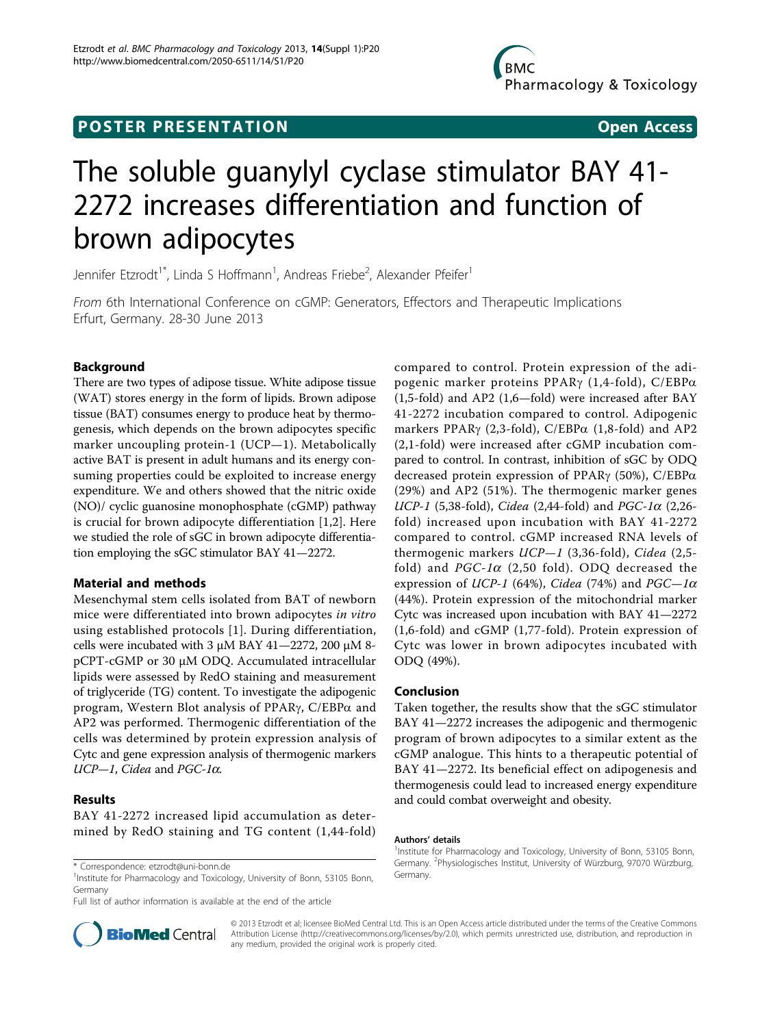## **POSTER PRESENTATION CONSUMING ACCESS**

# The soluble guanylyl cyclase stimulator BAY 41- 2272 increases differentiation and function of brown adipocytes

Jennifer Etzrodt<sup>1\*</sup>, Linda S Hoffmann<sup>1</sup>, Andreas Friebe<sup>2</sup>, Alexander Pfeifer<sup>1</sup>

From 6th International Conference on cGMP: Generators, Effectors and Therapeutic Implications Erfurt, Germany. 28-30 June 2013

## Background

There are two types of adipose tissue. White adipose tissue (WAT) stores energy in the form of lipids. Brown adipose tissue (BAT) consumes energy to produce heat by thermogenesis, which depends on the brown adipocytes specific marker uncoupling protein-1 (UCP—1). Metabolically active BAT is present in adult humans and its energy consuming properties could be exploited to increase energy expenditure. We and others showed that the nitric oxide (NO)/ cyclic guanosine monophosphate (cGMP) pathway is crucial for brown adipocyte differentiation [[1,2\]](#page-1-0). Here we studied the role of sGC in brown adipocyte differentiation employing the sGC stimulator BAY 41—2272.

## Material and methods

Mesenchymal stem cells isolated from BAT of newborn mice were differentiated into brown adipocytes in vitro using established protocols [[1\]](#page-1-0). During differentiation, cells were incubated with 3  $\mu$ M BAY 41-2272, 200  $\mu$ M 8pCPT-cGMP or 30 µM ODQ. Accumulated intracellular lipids were assessed by RedO staining and measurement of triglyceride (TG) content. To investigate the adipogenic program, Western Blot analysis of PPAR $\gamma$ , C/EBP $\alpha$  and AP2 was performed. Thermogenic differentiation of the cells was determined by protein expression analysis of Cytc and gene expression analysis of thermogenic markers  $UCP-1$ , Cidea and PGC-1 $\alpha$ .

## Results

BAY 41-2272 increased lipid accumulation as determined by RedO staining and TG content (1,44-fold)

t Correspondence: [etzrodt@uni-bonn.de](mailto:etzrodt@uni-bonn.de)<br>Institute for Pharmacology and Toxicology, University of Bonn, 53105 Bonn, Germany. Germany

Full list of author information is available at the end of the article



compared to control. Protein expression of the adipogenic marker proteins PPAR $\gamma$  (1,4-fold), C/EBP $\alpha$ (1,5-fold) and AP2 (1,6—fold) were increased after BAY 41-2272 incubation compared to control. Adipogenic markers PPAR $\gamma$  (2,3-fold), C/EBP $\alpha$  (1,8-fold) and AP2 (2,1-fold) were increased after cGMP incubation compared to control. In contrast, inhibition of sGC by ODQ decreased protein expression of PPAR $\gamma$  (50%), C/EBP $\alpha$ (29%) and AP2 (51%). The thermogenic marker genes UCP-1 (5,38-fold), *Cidea* (2,44-fold) and *PGC-1* $\alpha$  (2,26fold) increased upon incubation with BAY 41-2272 compared to control. cGMP increased RNA levels of thermogenic markers  $UCP-1$  (3,36-fold), Cidea (2,5fold) and  $PGC-1\alpha$  (2,50 fold). ODQ decreased the expression of UCP-1 (64%), Cidea (74%) and  $PGC-1\alpha$ (44%). Protein expression of the mitochondrial marker Cytc was increased upon incubation with BAY 41—2272 (1,6-fold) and cGMP (1,77-fold). Protein expression of Cytc was lower in brown adipocytes incubated with ODQ (49%).

## Conclusion

Taken together, the results show that the sGC stimulator BAY 41—2272 increases the adipogenic and thermogenic program of brown adipocytes to a similar extent as the cGMP analogue. This hints to a therapeutic potential of BAY 41—2272. Its beneficial effect on adipogenesis and thermogenesis could lead to increased energy expenditure and could combat overweight and obesity.

#### Authors' details <sup>1</sup>

<sup>1</sup>Institute for Pharmacology and Toxicology, University of Bonn, 53105 Bonn, Germany. <sup>2</sup>Physiologisches Institut, University of Würzburg, 97070 Würzburg,

© 2013 Etzrodt et al; licensee BioMed Central Ltd. This is an Open Access article distributed under the terms of the Creative Commons Attribution License [\(http://creativecommons.org/licenses/by/2.0](http://creativecommons.org/licenses/by/2.0)), which permits unrestricted use, distribution, and reproduction in any medium, provided the original work is properly cited.